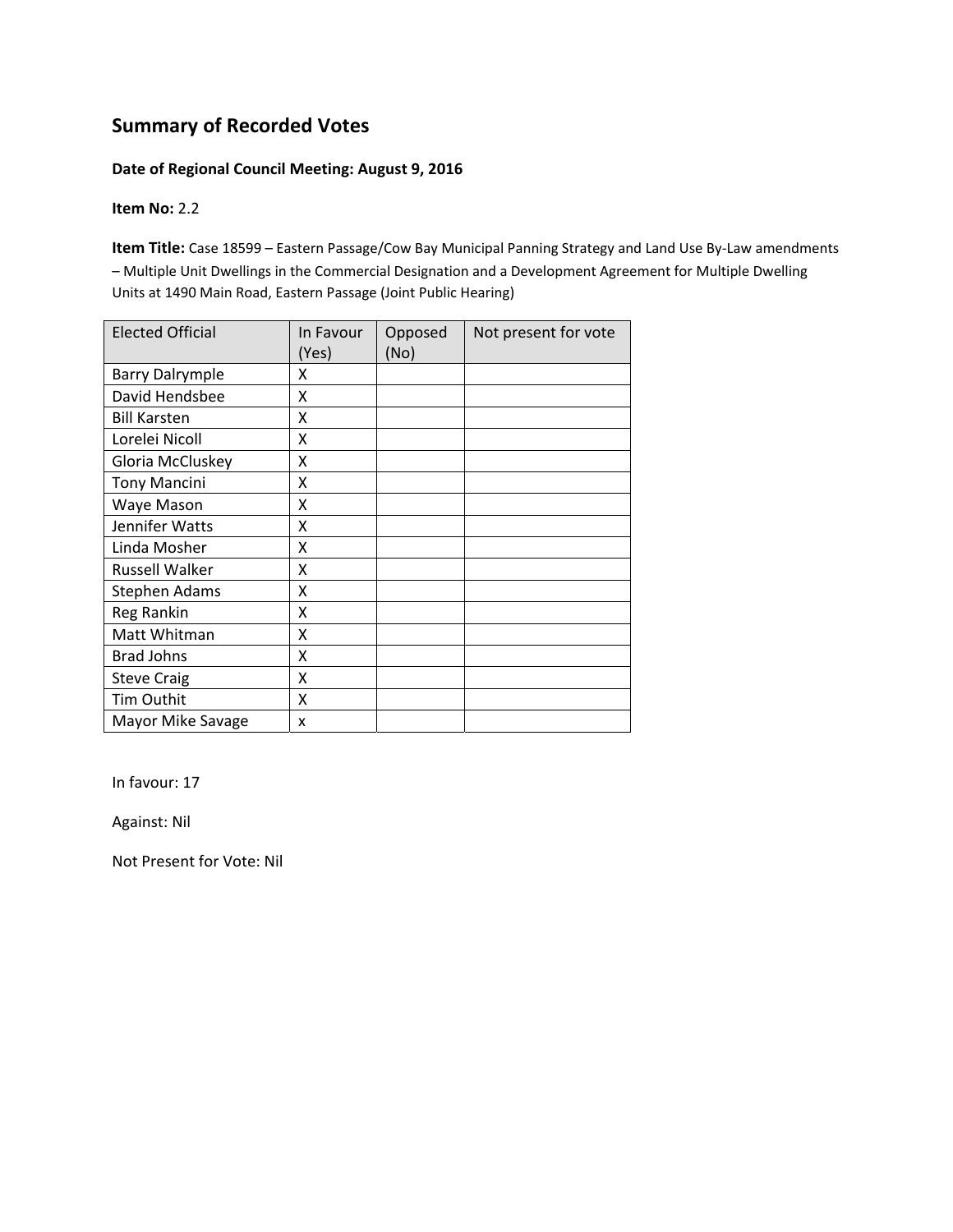# **Summary of Recorded Votes**

#### **Date of Regional Council Meeting: August 9, 2016**

#### **Item No:** 2.2

**Item Title:** Case 18599 – Eastern Passage/Cow Bay Municipal Panning Strategy and Land Use By‐Law amendments – Multiple Unit Dwellings in the Commercial Designation and a Development Agreement for Multiple Dwelling Units at 1490 Main Road, Eastern Passage (Joint Public Hearing)

| <b>Elected Official</b> | In Favour<br>(Yes) | Opposed<br>(No) | Not present for vote |
|-------------------------|--------------------|-----------------|----------------------|
| <b>Barry Dalrymple</b>  | x                  |                 |                      |
| David Hendsbee          | x                  |                 |                      |
| <b>Bill Karsten</b>     | x                  |                 |                      |
| Lorelei Nicoll          | X                  |                 |                      |
| Gloria McCluskey        | Χ                  |                 |                      |
| <b>Tony Mancini</b>     | X                  |                 |                      |
| Waye Mason              | X                  |                 |                      |
| Jennifer Watts          | X                  |                 |                      |
| Linda Mosher            | X                  |                 |                      |
| <b>Russell Walker</b>   | X                  |                 |                      |
| <b>Stephen Adams</b>    | X                  |                 |                      |
| Reg Rankin              | X                  |                 |                      |
| Matt Whitman            | X                  |                 |                      |
| <b>Brad Johns</b>       | Χ                  |                 |                      |
| <b>Steve Craig</b>      | x                  |                 |                      |
| Tim Outhit              | x                  |                 |                      |
| Mayor Mike Savage       | x                  |                 |                      |

In favour: 17

Against: Nil

Not Present for Vote: Nil